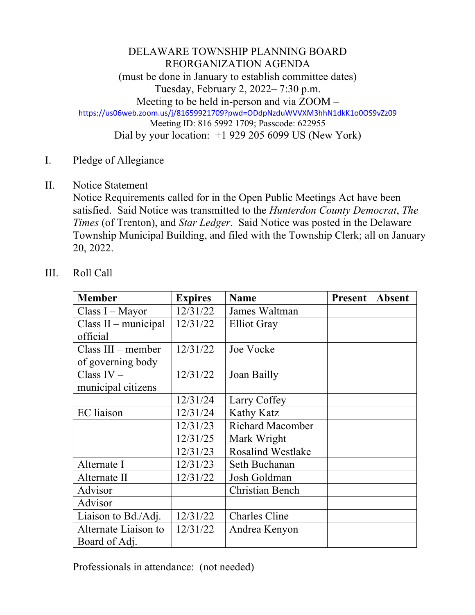## DELAWARE TOWNSHIP PLANNING BOARD REORGANIZATION AGENDA (must be done in January to establish committee dates) Tuesday, February 2, 2022– 7:30 p.m. Meeting to be held in-person and via ZOOM – https://us06web.zoom.us/j/81659921709?pwd=ODdpNzduWVVXM3hhN1dkK1o0OS9vZz09 Meeting ID: 816 5992 1709; Passcode: 622955 Dial by your location: +1 929 205 6099 US (New York)

- I. Pledge of Allegiance
- II. Notice Statement

Notice Requirements called for in the Open Public Meetings Act have been satisfied. Said Notice was transmitted to the *Hunterdon County Democrat*, *The Times* (of Trenton), and *Star Ledger*. Said Notice was posted in the Delaware Township Municipal Building, and filed with the Township Clerk; all on January 20, 2022.

## III. Roll Call

| <b>Member</b>        | <b>Expires</b> | <b>Name</b>              | <b>Present</b> | <b>Absent</b> |
|----------------------|----------------|--------------------------|----------------|---------------|
| $Class I - Mayor$    | 12/31/22       | James Waltman            |                |               |
| Class II – municipal | 12/31/22       | <b>Elliot Gray</b>       |                |               |
| official             |                |                          |                |               |
| $Class III - member$ | 12/31/22       | Joe Vocke                |                |               |
| of governing body    |                |                          |                |               |
| Class $IV -$         | 12/31/22       | Joan Bailly              |                |               |
| municipal citizens   |                |                          |                |               |
|                      | 12/31/24       | Larry Coffey             |                |               |
| <b>EC</b> liaison    | 12/31/24       | <b>Kathy Katz</b>        |                |               |
|                      | 12/31/23       | <b>Richard Macomber</b>  |                |               |
|                      | 12/31/25       | Mark Wright              |                |               |
|                      | 12/31/23       | <b>Rosalind Westlake</b> |                |               |
| Alternate I          | 12/31/23       | Seth Buchanan            |                |               |
| Alternate II         | 12/31/22       | Josh Goldman             |                |               |
| Advisor              |                | <b>Christian Bench</b>   |                |               |
| Advisor              |                |                          |                |               |
| Liaison to Bd./Adj.  | 12/31/22       | <b>Charles Cline</b>     |                |               |
| Alternate Liaison to | 12/31/22       | Andrea Kenyon            |                |               |
| Board of Adj.        |                |                          |                |               |

Professionals in attendance: (not needed)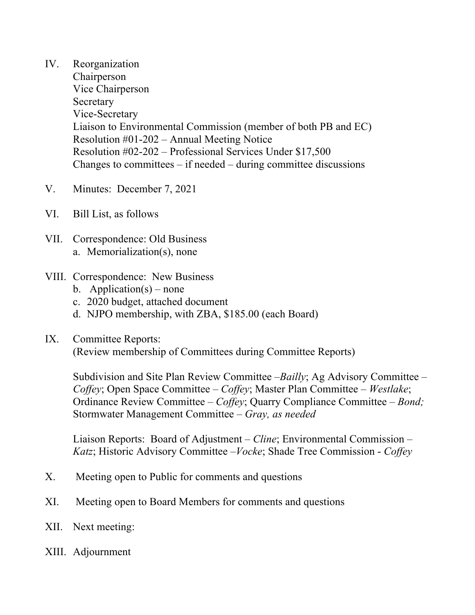- IV. Reorganization Chairperson Vice Chairperson Secretary Vice-Secretary Liaison to Environmental Commission (member of both PB and EC) Resolution #01-202 – Annual Meeting Notice Resolution #02-202 – Professional Services Under \$17,500 Changes to committees  $-$  if needed  $-$  during committee discussions
- V. Minutes: December 7, 2021
- VI. Bill List, as follows
- VII. Correspondence: Old Business a. Memorialization(s), none
- VIII. Correspondence: New Business
	- b. Application(s) none
	- c. 2020 budget, attached document
	- d. NJPO membership, with ZBA, \$185.00 (each Board)
- IX. Committee Reports:

(Review membership of Committees during Committee Reports)

Subdivision and Site Plan Review Committee –*Bailly*; Ag Advisory Committee – *Coffey*; Open Space Committee – *Coffey*; Master Plan Committee – *Westlake*; Ordinance Review Committee – *Coffey*; Quarry Compliance Committee – *Bond;* Stormwater Management Committee – *Gray, as needed*

Liaison Reports: Board of Adjustment – *Cline*; Environmental Commission – *Katz*; Historic Advisory Committee –*Vocke*; Shade Tree Commission - *Coffey*

- X. Meeting open to Public for comments and questions
- XI. Meeting open to Board Members for comments and questions
- XII. Next meeting:
- XIII. Adjournment